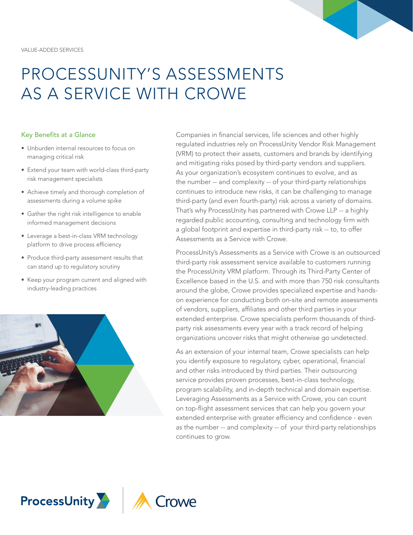

# PROCESSUNITY'S ASSESSMENTS AS A SERVICE WITH CROWE

#### Key Benefits at a Glance

- Unburden internal resources to focus on managing critical risk
- Extend your team with world-class third-party risk management specialists
- Achieve timely and thorough completion of assessments during a volume spike
- Gather the right risk intelligence to enable informed management decisions
- Leverage a best-in-class VRM technology platform to drive process efficiency
- Produce third-party assessment results that can stand up to regulatory scrutiny
- Keep your program current and aligned with industry-leading practices



Companies in financial services, life sciences and other highly regulated industries rely on ProcessUnity Vendor Risk Management (VRM) to protect their assets, customers and brands by identifying and mitigating risks posed by third-party vendors and suppliers. As your organization's ecosystem continues to evolve, and as the number -- and complexity -- of your third-party relationships continues to introduce new risks, it can be challenging to manage third-party (and even fourth-party) risk across a variety of domains. That's why ProcessUnity has partnered with Crowe LLP -- a highly regarded public accounting, consulting and technology firm with a global footprint and expertise in third-party risk -- to, to offer Assessments as a Service with Crowe.

ProcessUnity's Assessments as a Service with Crowe is an outsourced third-party risk assessment service available to customers running the ProcessUnity VRM platform. Through its Third-Party Center of Excellence based in the U.S. and with more than 750 risk consultants around the globe, Crowe provides specialized expertise and handson experience for conducting both on-site and remote assessments of vendors, suppliers, affiliates and other third parties in your extended enterprise. Crowe specialists perform thousands of thirdparty risk assessments every year with a track record of helping organizations uncover risks that might otherwise go undetected.

As an extension of your internal team, Crowe specialists can help you identify exposure to regulatory, cyber, operational, financial and other risks introduced by third parties. Their outsourcing service provides proven processes, best-in-class technology, program scalability, and in-depth technical and domain expertise. Leveraging Assessments as a Service with Crowe, you can count on top-flight assessment services that can help you govern your extended enterprise with greater efficiency and confidence - even as the number -- and complexity -- of your third-party relationships continues to grow.

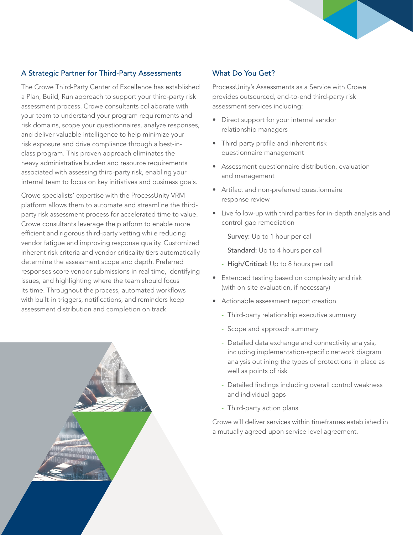## A Strategic Partner for Third-Party Assessments

The Crowe Third-Party Center of Excellence has established a Plan, Build, Run approach to support your third-party risk assessment process. Crowe consultants collaborate with your team to understand your program requirements and risk domains, scope your questionnaires, analyze responses, and deliver valuable intelligence to help minimize your risk exposure and drive compliance through a best-inclass program. This proven approach eliminates the heavy administrative burden and resource requirements associated with assessing third-party risk, enabling your internal team to focus on key initiatives and business goals.

Crowe specialists' expertise with the ProcessUnity VRM platform allows them to automate and streamline the thirdparty risk assessment process for accelerated time to value. Crowe consultants leverage the platform to enable more efficient and rigorous third-party vetting while reducing vendor fatigue and improving response quality. Customized inherent risk criteria and vendor criticality tiers automatically determine the assessment scope and depth. Preferred responses score vendor submissions in real time, identifying issues, and highlighting where the team should focus its time. Throughout the process, automated workflows with built-in triggers, notifications, and reminders keep assessment distribution and completion on track.

# What Do You Get?

ProcessUnity's Assessments as a Service with Crowe provides outsourced, end-to-end third-party risk assessment services including:

- Direct support for your internal vendor relationship managers
- Third-party profile and inherent risk questionnaire management
- Assessment questionnaire distribution, evaluation and management
- Artifact and non-preferred questionnaire response review
- Live follow-up with third parties for in-depth analysis and control-gap remediation
	- Survey: Up to 1 hour per call
	- Standard: Up to 4 hours per call
	- High/Critical: Up to 8 hours per call
- Extended testing based on complexity and risk (with on-site evaluation, if necessary)
- Actionable assessment report creation
	- Third-party relationship executive summary
	- Scope and approach summary
	- Detailed data exchange and connectivity analysis, including implementation-specific network diagram analysis outlining the types of protections in place as well as points of risk
	- Detailed findings including overall control weakness and individual gaps
	- Third-party action plans

Crowe will deliver services within timeframes established in a mutually agreed-upon service level agreement.